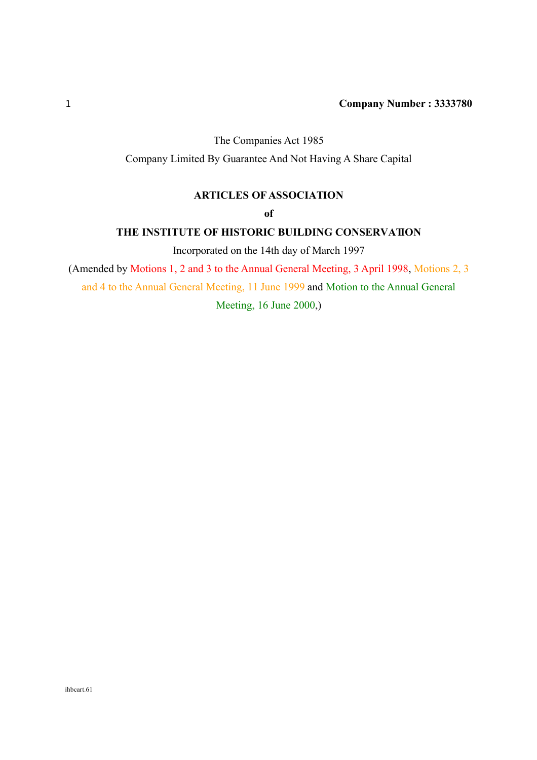# The Companies Act 1985

Company Limited By Guarantee And Not Having A Share Capital

# **ARTICLES OF ASSOCIATION**

### **of**

### **THE INSTITUTE OF HISTORIC BUILDING CONSERVATION**

Incorporated on the 14th day of March 1997

(Amended by Motions 1, 2 and 3 to the Annual General Meeting, 3 April 1998, Motions 2, 3

and 4 to the Annual General Meeting, 11 June 1999 and Motion to the Annual General

Meeting, 16 June 2000,)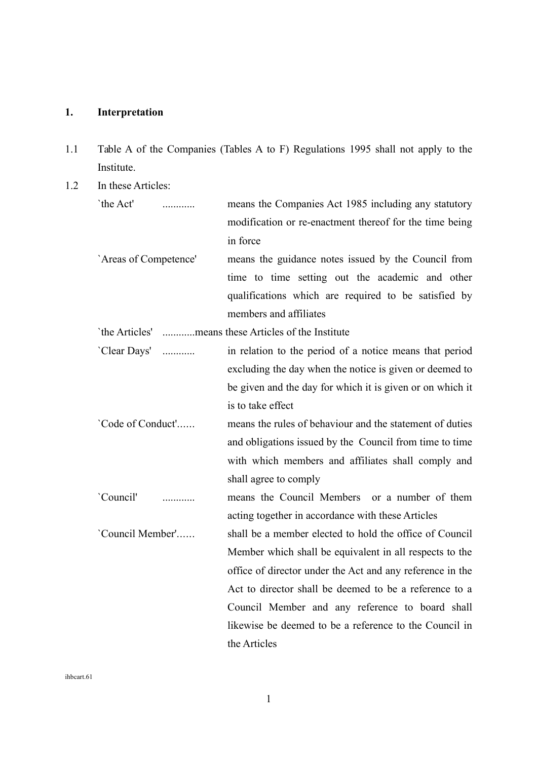# **1. Interpretation**

- 1.1 Table A of the Companies (Tables A to F) Regulations 1995 shall not apply to the Institute.
- 1.2 In these Articles:

| `the Act'             |   | means the Companies Act 1985 including any statutory      |
|-----------------------|---|-----------------------------------------------------------|
|                       |   | modification or re-enactment thereof for the time being   |
|                       |   | in force                                                  |
| 'Areas of Competence' |   | means the guidance notes issued by the Council from       |
|                       |   | time to time setting out the academic and other           |
|                       |   | qualifications which are required to be satisfied by      |
|                       |   | members and affiliates                                    |
|                       |   | `the Articles' means these Articles of the Institute      |
| 'Clear Days'          | . | in relation to the period of a notice means that period   |
|                       |   | excluding the day when the notice is given or deemed to   |
|                       |   | be given and the day for which it is given or on which it |
|                       |   | is to take effect                                         |
| 'Code of Conduct'     |   | means the rules of behaviour and the statement of duties  |
|                       |   | and obligations issued by the Council from time to time   |
|                       |   | with which members and affiliates shall comply and        |
|                       |   | shall agree to comply                                     |
| 'Council'             |   | means the Council Members or a number of them             |
|                       |   | acting together in accordance with these Articles         |
| 'Council Member'      |   | shall be a member elected to hold the office of Council   |
|                       |   | Member which shall be equivalent in all respects to the   |
|                       |   | office of director under the Act and any reference in the |
|                       |   | Act to director shall be deemed to be a reference to a    |
|                       |   | Council Member and any reference to board shall           |

the Articles

likewise be deemed to be a reference to the Council in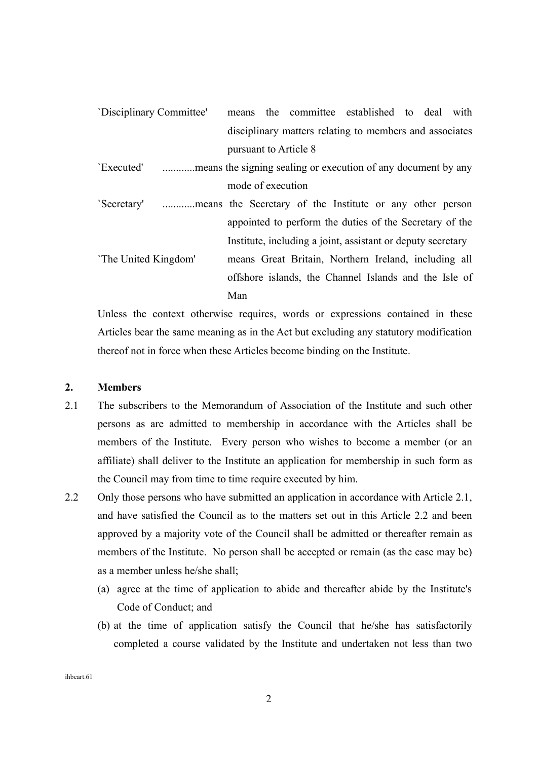| 'Disciplinary Committee'                                                    |     |                       | means the committee established to deal with                |  |  |
|-----------------------------------------------------------------------------|-----|-----------------------|-------------------------------------------------------------|--|--|
|                                                                             |     |                       | disciplinary matters relating to members and associates     |  |  |
|                                                                             |     | pursuant to Article 8 |                                                             |  |  |
| 'Executed'<br>means the signing sealing or execution of any document by any |     |                       |                                                             |  |  |
|                                                                             |     | mode of execution     |                                                             |  |  |
| Secretary  means the Secretary of the Institute or any other person         |     |                       |                                                             |  |  |
|                                                                             |     |                       | appointed to perform the duties of the Secretary of the     |  |  |
|                                                                             |     |                       | Institute, including a joint, assistant or deputy secretary |  |  |
| 'The United Kingdom'                                                        |     |                       | means Great Britain, Northern Ireland, including all        |  |  |
|                                                                             |     |                       | offshore islands, the Channel Islands and the Isle of       |  |  |
|                                                                             | Man |                       |                                                             |  |  |

Unless the context otherwise requires, words or expressions contained in these Articles bear the same meaning as in the Act but excluding any statutory modification thereof not in force when these Articles become binding on the Institute.

#### **2. Members**

- 2.1 The subscribers to the Memorandum of Association of the Institute and such other persons as are admitted to membership in accordance with the Articles shall be members of the Institute. Every person who wishes to become a member (or an affiliate) shall deliver to the Institute an application for membership in such form as the Council may from time to time require executed by him.
- 2.2 Only those persons who have submitted an application in accordance with Article 2.1, and have satisfied the Council as to the matters set out in this Article 2.2 and been approved by a majority vote of the Council shall be admitted or thereafter remain as members of the Institute. No person shall be accepted or remain (as the case may be) as a member unless he/she shall;
	- (a) agree at the time of application to abide and thereafter abide by the Institute's Code of Conduct; and
	- (b) at the time of application satisfy the Council that he/she has satisfactorily completed a course validated by the Institute and undertaken not less than two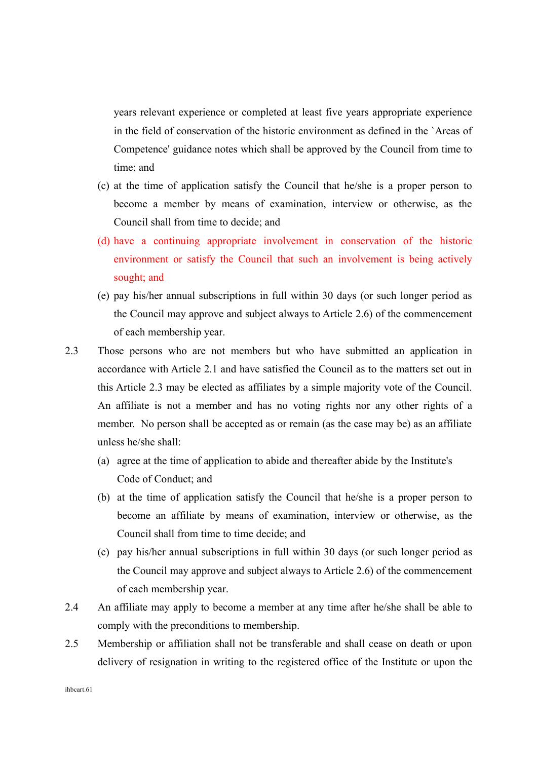years relevant experience or completed at least five years appropriate experience in the field of conservation of the historic environment as defined in the `Areas of Competence' guidance notes which shall be approved by the Council from time to time; and

- (c) at the time of application satisfy the Council that he/she is a proper person to become a member by means of examination, interview or otherwise, as the Council shall from time to decide; and
- (d) have a continuing appropriate involvement in conservation of the historic environment or satisfy the Council that such an involvement is being actively sought; and
- (e) pay his/her annual subscriptions in full within 30 days (or such longer period as the Council may approve and subject always to Article 2.6) of the commencement of each membership year.
- 2.3 Those persons who are not members but who have submitted an application in accordance with Article 2.1 and have satisfied the Council as to the matters set out in this Article 2.3 may be elected as affiliates by a simple majority vote of the Council. An affiliate is not a member and has no voting rights nor any other rights of a member. No person shall be accepted as or remain (as the case may be) as an affiliate unless he/she shall:
	- (a) agree at the time of application to abide and thereafter abide by the Institute's Code of Conduct; and
	- (b) at the time of application satisfy the Council that he/she is a proper person to become an affiliate by means of examination, interview or otherwise, as the Council shall from time to time decide; and
	- (c) pay his/her annual subscriptions in full within 30 days (or such longer period as the Council may approve and subject always to Article 2.6) of the commencement of each membership year.
- 2.4 An affiliate may apply to become a member at any time after he/she shall be able to comply with the preconditions to membership.
- 2.5 Membership or affiliation shall not be transferable and shall cease on death or upon delivery of resignation in writing to the registered office of the Institute or upon the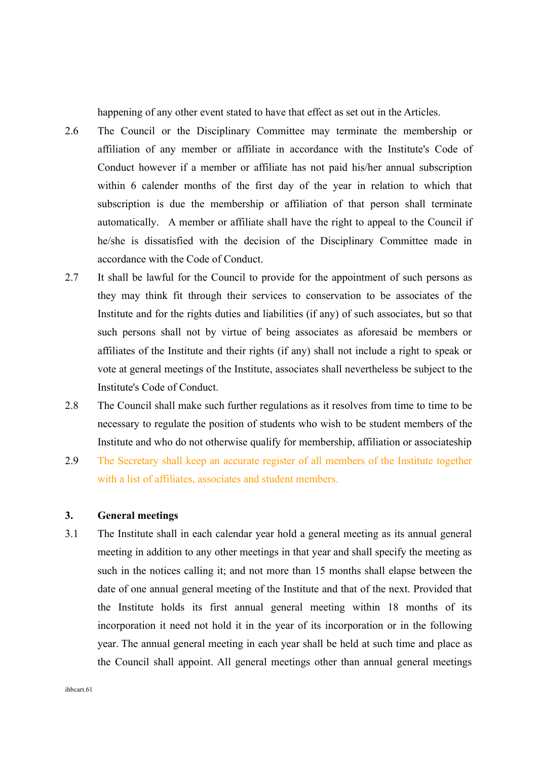happening of any other event stated to have that effect as set out in the Articles.

- 2.6 The Council or the Disciplinary Committee may terminate the membership or affiliation of any member or affiliate in accordance with the Institute's Code of Conduct however if a member or affiliate has not paid his/her annual subscription within 6 calender months of the first day of the year in relation to which that subscription is due the membership or affiliation of that person shall terminate automatically. A member or affiliate shall have the right to appeal to the Council if he/she is dissatisfied with the decision of the Disciplinary Committee made in accordance with the Code of Conduct.
- 2.7 It shall be lawful for the Council to provide for the appointment of such persons as they may think fit through their services to conservation to be associates of the Institute and for the rights duties and liabilities (if any) of such associates, but so that such persons shall not by virtue of being associates as aforesaid be members or affiliates of the Institute and their rights (if any) shall not include a right to speak or vote at general meetings of the Institute, associates shall nevertheless be subject to the Institute's Code of Conduct.
- 2.8 The Council shall make such further regulations as it resolves from time to time to be necessary to regulate the position of students who wish to be student members of the Institute and who do not otherwise qualify for membership, affiliation or associateship
- 2.9 The Secretary shall keep an accurate register of all members of the Institute together with a list of affiliates, associates and student members.

# **3. General meetings**

3.1 The Institute shall in each calendar year hold a general meeting as its annual general meeting in addition to any other meetings in that year and shall specify the meeting as such in the notices calling it; and not more than 15 months shall elapse between the date of one annual general meeting of the Institute and that of the next. Provided that the Institute holds its first annual general meeting within 18 months of its incorporation it need not hold it in the year of its incorporation or in the following year. The annual general meeting in each year shall be held at such time and place as the Council shall appoint. All general meetings other than annual general meetings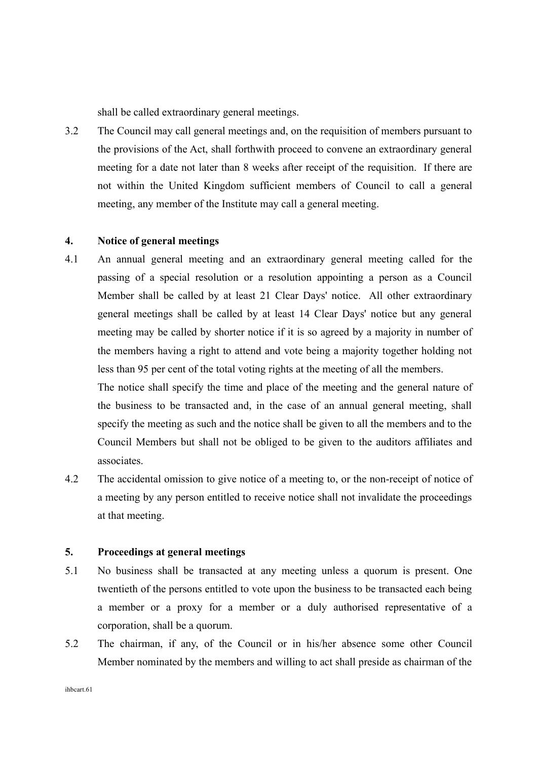shall be called extraordinary general meetings.

3.2 The Council may call general meetings and, on the requisition of members pursuant to the provisions of the Act, shall forthwith proceed to convene an extraordinary general meeting for a date not later than 8 weeks after receipt of the requisition. If there are not within the United Kingdom sufficient members of Council to call a general meeting, any member of the Institute may call a general meeting.

### **4. Notice of general meetings**

4.1 An annual general meeting and an extraordinary general meeting called for the passing of a special resolution or a resolution appointing a person as a Council Member shall be called by at least 21 Clear Days' notice. All other extraordinary general meetings shall be called by at least 14 Clear Days' notice but any general meeting may be called by shorter notice if it is so agreed by a majority in number of the members having a right to attend and vote being a majority together holding not less than 95 per cent of the total voting rights at the meeting of all the members.

The notice shall specify the time and place of the meeting and the general nature of the business to be transacted and, in the case of an annual general meeting, shall specify the meeting as such and the notice shall be given to all the members and to the Council Members but shall not be obliged to be given to the auditors affiliates and associates.

4.2 The accidental omission to give notice of a meeting to, or the non-receipt of notice of a meeting by any person entitled to receive notice shall not invalidate the proceedings at that meeting.

### **5. Proceedings at general meetings**

- 5.1 No business shall be transacted at any meeting unless a quorum is present. One twentieth of the persons entitled to vote upon the business to be transacted each being a member or a proxy for a member or a duly authorised representative of a corporation, shall be a quorum.
- 5.2 The chairman, if any, of the Council or in his/her absence some other Council Member nominated by the members and willing to act shall preside as chairman of the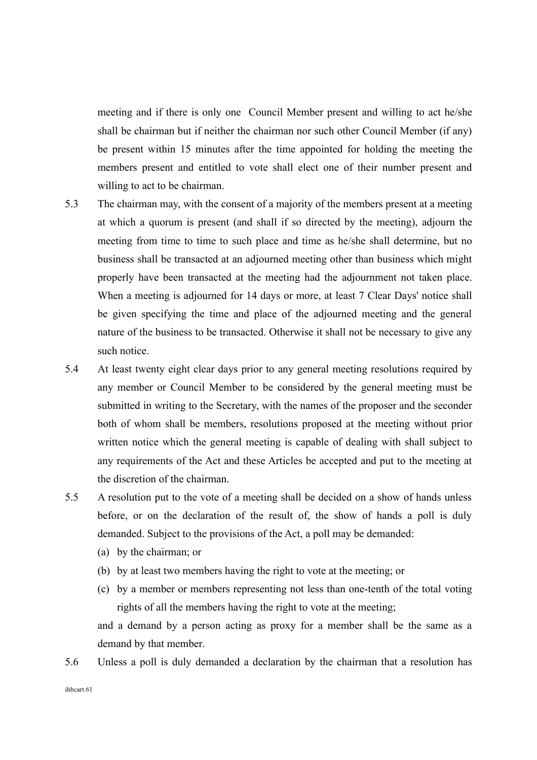meeting and if there is only one Council Member present and willing to act he/she shall be chairman but if neither the chairman nor such other Council Member (if any) be present within 15 minutes after the time appointed for holding the meeting the members present and entitled to vote shall elect one of their number present and willing to act to be chairman.

- 5.3 The chairman may, with the consent of a majority of the members present at a meeting at which a quorum is present (and shall if so directed by the meeting), adjourn the meeting from time to time to such place and time as he/she shall determine, but no business shall be transacted at an adjourned meeting other than business which might properly have been transacted at the meeting had the adjournment not taken place. When a meeting is adjourned for 14 days or more, at least 7 Clear Days' notice shall be given specifying the time and place of the adjourned meeting and the general nature of the business to be transacted. Otherwise it shall not be necessary to give any such notice.
- 5.4 At least twenty eight clear days prior to any general meeting resolutions required by any member or Council Member to be considered by the general meeting must be submitted in writing to the Secretary, with the names of the proposer and the seconder both of whom shall be members, resolutions proposed at the meeting without prior written notice which the general meeting is capable of dealing with shall subject to any requirements of the Act and these Articles be accepted and put to the meeting at the discretion of the chairman.
- 5.5 A resolution put to the vote of a meeting shall be decided on a show of hands unless before, or on the declaration of the result of, the show of hands a poll is duly demanded. Subject to the provisions of the Act, a poll may be demanded:
	- (a) by the chairman; or
	- (b) by at least two members having the right to vote at the meeting; or
	- (c) by a member or members representing not less than one-tenth of the total voting rights of all the members having the right to vote at the meeting;

and a demand by a person acting as proxy for a member shall be the same as a demand by that member.

5.6 Unless a poll is duly demanded a declaration by the chairman that a resolution has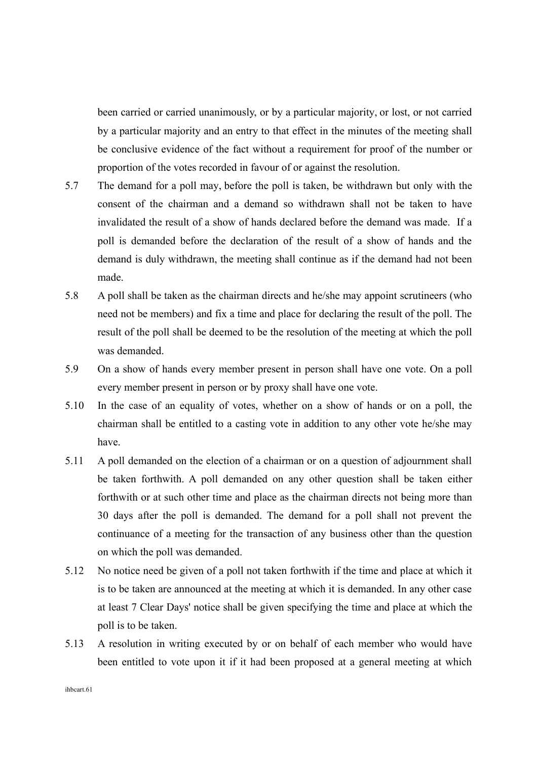been carried or carried unanimously, or by a particular majority, or lost, or not carried by a particular majority and an entry to that effect in the minutes of the meeting shall be conclusive evidence of the fact without a requirement for proof of the number or proportion of the votes recorded in favour of or against the resolution.

- 5.7 The demand for a poll may, before the poll is taken, be withdrawn but only with the consent of the chairman and a demand so withdrawn shall not be taken to have invalidated the result of a show of hands declared before the demand was made. If a poll is demanded before the declaration of the result of a show of hands and the demand is duly withdrawn, the meeting shall continue as if the demand had not been made.
- 5.8 A poll shall be taken as the chairman directs and he/she may appoint scrutineers (who need not be members) and fix a time and place for declaring the result of the poll. The result of the poll shall be deemed to be the resolution of the meeting at which the poll was demanded.
- 5.9 On a show of hands every member present in person shall have one vote. On a poll every member present in person or by proxy shall have one vote.
- 5.10 In the case of an equality of votes, whether on a show of hands or on a poll, the chairman shall be entitled to a casting vote in addition to any other vote he/she may have.
- 5.11 A poll demanded on the election of a chairman or on a question of adjournment shall be taken forthwith. A poll demanded on any other question shall be taken either forthwith or at such other time and place as the chairman directs not being more than 30 days after the poll is demanded. The demand for a poll shall not prevent the continuance of a meeting for the transaction of any business other than the question on which the poll was demanded.
- 5.12 No notice need be given of a poll not taken forthwith if the time and place at which it is to be taken are announced at the meeting at which it is demanded. In any other case at least 7 Clear Days' notice shall be given specifying the time and place at which the poll is to be taken.
- 5.13 A resolution in writing executed by or on behalf of each member who would have been entitled to vote upon it if it had been proposed at a general meeting at which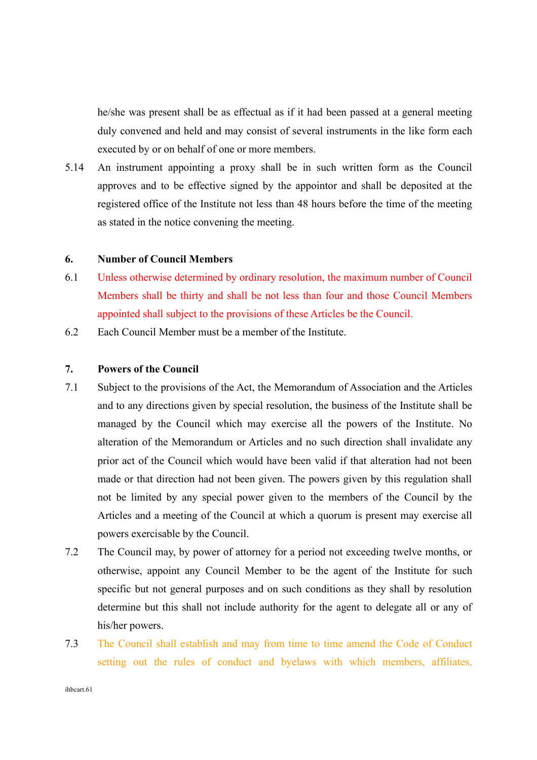he/she was present shall be as effectual as if it had been passed at a general meeting duly convened and held and may consist of several instruments in the like form each executed by or on behalf of one or more members.

5.14 An instrument appointing a proxy shall be in such written form as the Council approves and to be effective signed by the appointor and shall be deposited at the registered office of the Institute not less than 48 hours before the time of the meeting as stated in the notice convening the meeting.

#### **6. Number of Council Members**

- 6.1 Unless otherwise determined by ordinary resolution, the maximum number of Council Members shall be thirty and shall be not less than four and those Council Members appointed shall subject to the provisions of these Articles be the Council.
- 6.2 Each Council Member must be a member of the Institute.

### **7. Powers of the Council**

- 7.1 Subject to the provisions of the Act, the Memorandum of Association and the Articles and to any directions given by special resolution, the business of the Institute shall be managed by the Council which may exercise all the powers of the Institute. No alteration of the Memorandum or Articles and no such direction shall invalidate any prior act of the Council which would have been valid if that alteration had not been made or that direction had not been given. The powers given by this regulation shall not be limited by any special power given to the members of the Council by the Articles and a meeting of the Council at which a quorum is present may exercise all powers exercisable by the Council.
- 7.2 The Council may, by power of attorney for a period not exceeding twelve months, or otherwise, appoint any Council Member to be the agent of the Institute for such specific but not general purposes and on such conditions as they shall by resolution determine but this shall not include authority for the agent to delegate all or any of his/her powers.
- 7.3 The Council shall establish and may from time to time amend the Code of Conduct setting out the rules of conduct and byelaws with which members, affiliates,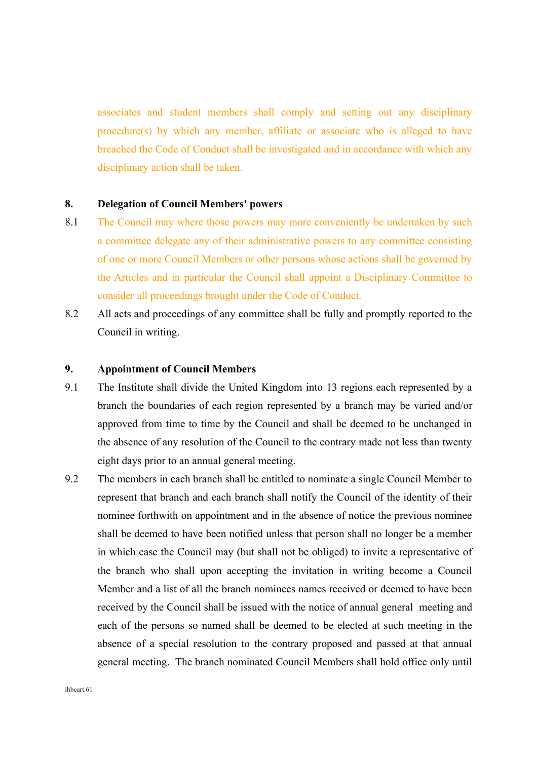associates and student members shall comply and setting out any disciplinary procedure(s) by which any member, affiliate or associate who is alleged to have breached the Code of Conduct shall be investigated and in accordance with which any disciplinary action shall be taken.

### **8. Delegation of Council Members' powers**

- 8.1 The Council may where those powers may more conveniently be undertaken by such a committee delegate any of their administrative powers to any committee consisting of one or more Council Members or other persons whose actions shall be governed by the Articles and in particular the Council shall appoint a Disciplinary Committee to consider all proceedings brought under the Code of Conduct.
- 8.2 All acts and proceedings of any committee shall be fully and promptly reported to the Council in writing.

#### **9. Appointment of Council Members**

- 9.1 The Institute shall divide the United Kingdom into 13 regions each represented by a branch the boundaries of each region represented by a branch may be varied and/or approved from time to time by the Council and shall be deemed to be unchanged in the absence of any resolution of the Council to the contrary made not less than twenty eight days prior to an annual general meeting.
- 9.2 The members in each branch shall be entitled to nominate a single Council Member to represent that branch and each branch shall notify the Council of the identity of their nominee forthwith on appointment and in the absence of notice the previous nominee shall be deemed to have been notified unless that person shall no longer be a member in which case the Council may (but shall not be obliged) to invite a representative of the branch who shall upon accepting the invitation in writing become a Council Member and a list of all the branch nominees names received or deemed to have been received by the Council shall be issued with the notice of annual general meeting and each of the persons so named shall be deemed to be elected at such meeting in the absence of a special resolution to the contrary proposed and passed at that annual general meeting. The branch nominated Council Members shall hold office only until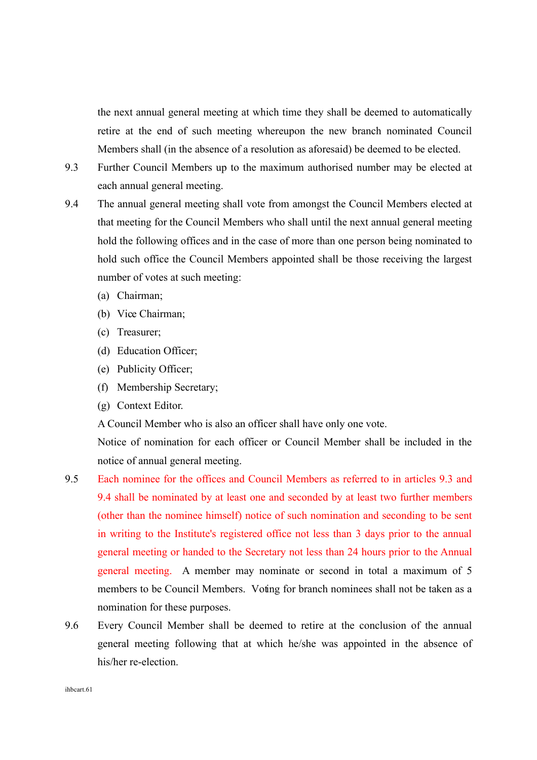the next annual general meeting at which time they shall be deemed to automatically retire at the end of such meeting whereupon the new branch nominated Council Members shall (in the absence of a resolution as aforesaid) be deemed to be elected.

- 9.3 Further Council Members up to the maximum authorised number may be elected at each annual general meeting.
- 9.4 The annual general meeting shall vote from amongst the Council Members elected at that meeting for the Council Members who shall until the next annual general meeting hold the following offices and in the case of more than one person being nominated to hold such office the Council Members appointed shall be those receiving the largest number of votes at such meeting:
	- (a) Chairman;
	- (b) Vice Chairman;
	- (c) Treasurer;
	- (d) Education Officer;
	- (e) Publicity Officer;
	- (f) Membership Secretary;
	- (g) Context Editor.

A Council Member who is also an officer shall have only one vote.

Notice of nomination for each officer or Council Member shall be included in the notice of annual general meeting.

- 9.5 Each nominee for the offices and Council Members as referred to in articles 9.3 and 9.4 shall be nominated by at least one and seconded by at least two further members (other than the nominee himself) notice of such nomination and seconding to be sent in writing to the Institute's registered office not less than 3 days prior to the annual general meeting or handed to the Secretary not less than 24 hours prior to the Annual general meeting. A member may nominate or second in total a maximum of 5 members to be Council Members. Voting for branch nominees shall not be taken as a nomination for these purposes.
- 9.6 Every Council Member shall be deemed to retire at the conclusion of the annual general meeting following that at which he/she was appointed in the absence of his/her re-election.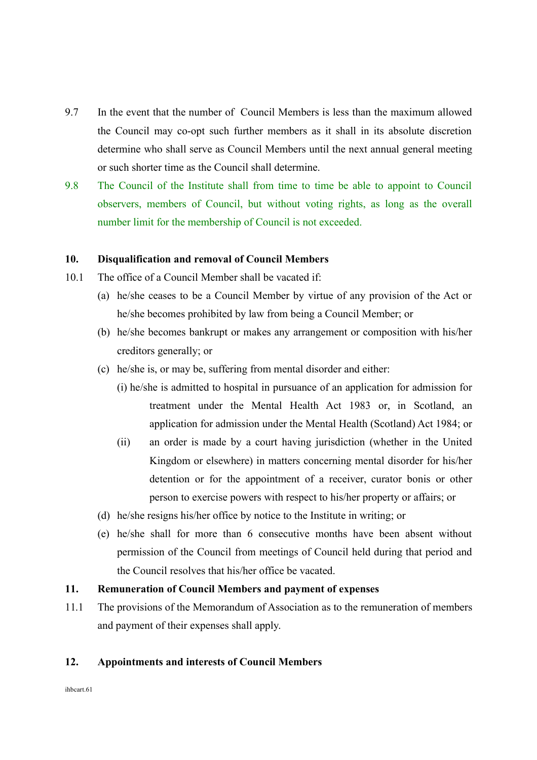- 9.7 In the event that the number of Council Members is less than the maximum allowed the Council may co-opt such further members as it shall in its absolute discretion determine who shall serve as Council Members until the next annual general meeting or such shorter time as the Council shall determine.
- 9.8 The Council of the Institute shall from time to time be able to appoint to Council observers, members of Council, but without voting rights, as long as the overall number limit for the membership of Council is not exceeded.

#### **10. Disqualification and removal of Council Members**

- 10.1 The office of a Council Member shall be vacated if:
	- (a) he/she ceases to be a Council Member by virtue of any provision of the Act or he/she becomes prohibited by law from being a Council Member; or
	- (b) he/she becomes bankrupt or makes any arrangement or composition with his/her creditors generally; or
	- (c) he/she is, or may be, suffering from mental disorder and either:
		- (i) he/she is admitted to hospital in pursuance of an application for admission for treatment under the Mental Health Act 1983 or, in Scotland, an application for admission under the Mental Health (Scotland) Act 1984; or
		- (ii) an order is made by a court having jurisdiction (whether in the United Kingdom or elsewhere) in matters concerning mental disorder for his/her detention or for the appointment of a receiver, curator bonis or other person to exercise powers with respect to his/her property or affairs; or
	- (d) he/she resigns his/her office by notice to the Institute in writing; or
	- (e) he/she shall for more than 6 consecutive months have been absent without permission of the Council from meetings of Council held during that period and the Council resolves that his/her office be vacated.

# **11. Remuneration of Council Members and payment of expenses**

11.1 The provisions of the Memorandum of Association as to the remuneration of members and payment of their expenses shall apply.

#### **12. Appointments and interests of Council Members**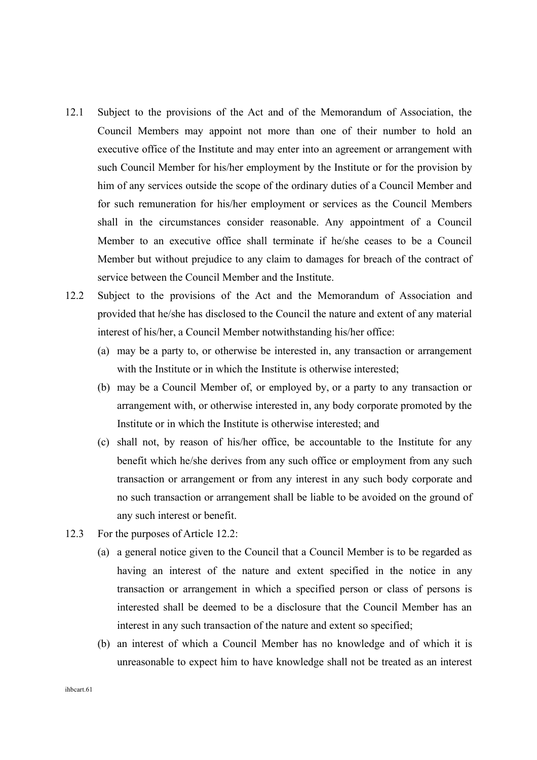- 12.1 Subject to the provisions of the Act and of the Memorandum of Association, the Council Members may appoint not more than one of their number to hold an executive office of the Institute and may enter into an agreement or arrangement with such Council Member for his/her employment by the Institute or for the provision by him of any services outside the scope of the ordinary duties of a Council Member and for such remuneration for his/her employment or services as the Council Members shall in the circumstances consider reasonable. Any appointment of a Council Member to an executive office shall terminate if he/she ceases to be a Council Member but without prejudice to any claim to damages for breach of the contract of service between the Council Member and the Institute.
- 12.2 Subject to the provisions of the Act and the Memorandum of Association and provided that he/she has disclosed to the Council the nature and extent of any material interest of his/her, a Council Member notwithstanding his/her office:
	- (a) may be a party to, or otherwise be interested in, any transaction or arrangement with the Institute or in which the Institute is otherwise interested;
	- (b) may be a Council Member of, or employed by, or a party to any transaction or arrangement with, or otherwise interested in, any body corporate promoted by the Institute or in which the Institute is otherwise interested; and
	- (c) shall not, by reason of his/her office, be accountable to the Institute for any benefit which he/she derives from any such office or employment from any such transaction or arrangement or from any interest in any such body corporate and no such transaction or arrangement shall be liable to be avoided on the ground of any such interest or benefit.
- 12.3 For the purposes of Article 12.2:
	- (a) a general notice given to the Council that a Council Member is to be regarded as having an interest of the nature and extent specified in the notice in any transaction or arrangement in which a specified person or class of persons is interested shall be deemed to be a disclosure that the Council Member has an interest in any such transaction of the nature and extent so specified;
	- (b) an interest of which a Council Member has no knowledge and of which it is unreasonable to expect him to have knowledge shall not be treated as an interest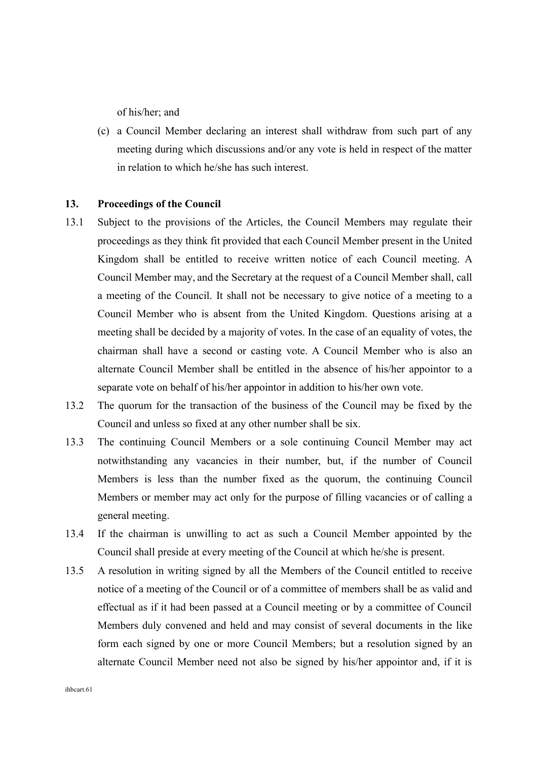of his/her; and

(c) a Council Member declaring an interest shall withdraw from such part of any meeting during which discussions and/or any vote is held in respect of the matter in relation to which he/she has such interest.

### **13. Proceedings of the Council**

- 13.1 Subject to the provisions of the Articles, the Council Members may regulate their proceedings as they think fit provided that each Council Member present in the United Kingdom shall be entitled to receive written notice of each Council meeting. A Council Member may, and the Secretary at the request of a Council Member shall, call a meeting of the Council. It shall not be necessary to give notice of a meeting to a Council Member who is absent from the United Kingdom. Questions arising at a meeting shall be decided by a majority of votes. In the case of an equality of votes, the chairman shall have a second or casting vote. A Council Member who is also an alternate Council Member shall be entitled in the absence of his/her appointor to a separate vote on behalf of his/her appointor in addition to his/her own vote.
- 13.2 The quorum for the transaction of the business of the Council may be fixed by the Council and unless so fixed at any other number shall be six.
- 13.3 The continuing Council Members or a sole continuing Council Member may act notwithstanding any vacancies in their number, but, if the number of Council Members is less than the number fixed as the quorum, the continuing Council Members or member may act only for the purpose of filling vacancies or of calling a general meeting.
- 13.4 If the chairman is unwilling to act as such a Council Member appointed by the Council shall preside at every meeting of the Council at which he/she is present.
- 13.5 A resolution in writing signed by all the Members of the Council entitled to receive notice of a meeting of the Council or of a committee of members shall be as valid and effectual as if it had been passed at a Council meeting or by a committee of Council Members duly convened and held and may consist of several documents in the like form each signed by one or more Council Members; but a resolution signed by an alternate Council Member need not also be signed by his/her appointor and, if it is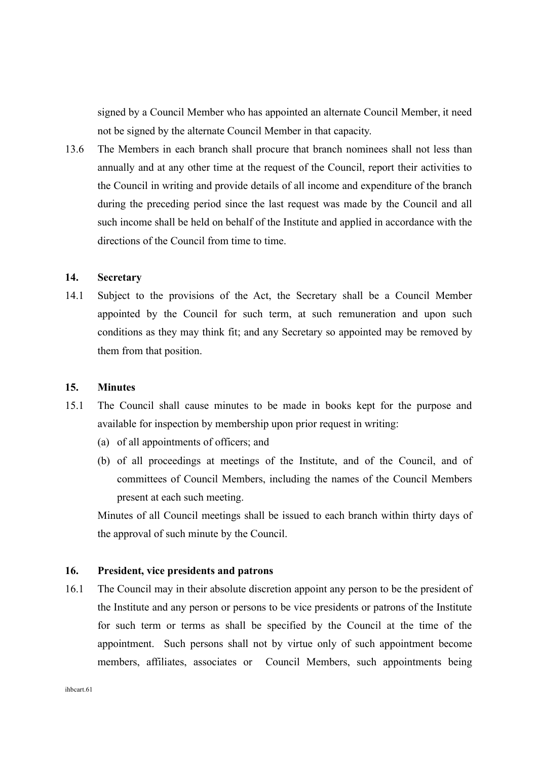signed by a Council Member who has appointed an alternate Council Member, it need not be signed by the alternate Council Member in that capacity.

13.6 The Members in each branch shall procure that branch nominees shall not less than annually and at any other time at the request of the Council, report their activities to the Council in writing and provide details of all income and expenditure of the branch during the preceding period since the last request was made by the Council and all such income shall be held on behalf of the Institute and applied in accordance with the directions of the Council from time to time.

# **14. Secretary**

14.1 Subject to the provisions of the Act, the Secretary shall be a Council Member appointed by the Council for such term, at such remuneration and upon such conditions as they may think fit; and any Secretary so appointed may be removed by them from that position.

#### **15. Minutes**

- 15.1 The Council shall cause minutes to be made in books kept for the purpose and available for inspection by membership upon prior request in writing:
	- (a) of all appointments of officers; and
	- (b) of all proceedings at meetings of the Institute, and of the Council, and of committees of Council Members, including the names of the Council Members present at each such meeting.

Minutes of all Council meetings shall be issued to each branch within thirty days of the approval of such minute by the Council.

### **16. President, vice presidents and patrons**

16.1 The Council may in their absolute discretion appoint any person to be the president of the Institute and any person or persons to be vice presidents or patrons of the Institute for such term or terms as shall be specified by the Council at the time of the appointment. Such persons shall not by virtue only of such appointment become members, affiliates, associates or Council Members, such appointments being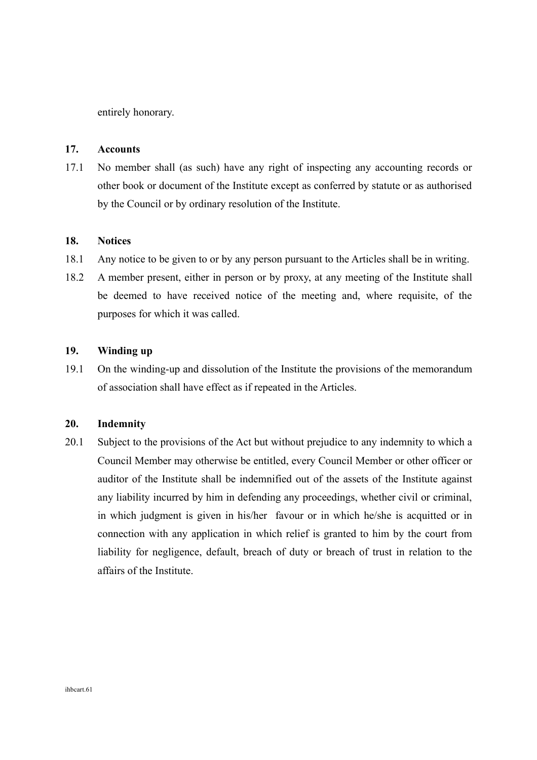entirely honorary.

### **17. Accounts**

17.1 No member shall (as such) have any right of inspecting any accounting records or other book or document of the Institute except as conferred by statute or as authorised by the Council or by ordinary resolution of the Institute.

### **18. Notices**

- 18.1 Any notice to be given to or by any person pursuant to the Articles shall be in writing.
- 18.2 A member present, either in person or by proxy, at any meeting of the Institute shall be deemed to have received notice of the meeting and, where requisite, of the purposes for which it was called.

# **19. Winding up**

19.1 On the winding-up and dissolution of the Institute the provisions of the memorandum of association shall have effect as if repeated in the Articles.

### **20. Indemnity**

20.1 Subject to the provisions of the Act but without prejudice to any indemnity to which a Council Member may otherwise be entitled, every Council Member or other officer or auditor of the Institute shall be indemnified out of the assets of the Institute against any liability incurred by him in defending any proceedings, whether civil or criminal, in which judgment is given in his/her favour or in which he/she is acquitted or in connection with any application in which relief is granted to him by the court from liability for negligence, default, breach of duty or breach of trust in relation to the affairs of the Institute.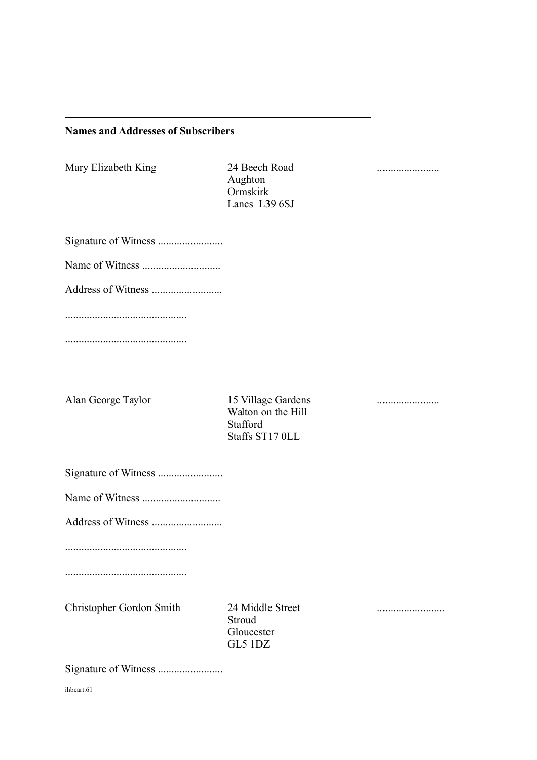# **Names and Addresses of Subscribers**

| Mary Elizabeth King      | 24 Beech Road<br>Aughton<br>Ormskirk<br>Lancs L39 6SJ                   |  |
|--------------------------|-------------------------------------------------------------------------|--|
|                          |                                                                         |  |
|                          |                                                                         |  |
|                          |                                                                         |  |
|                          |                                                                         |  |
|                          |                                                                         |  |
|                          |                                                                         |  |
| Alan George Taylor       | 15 Village Gardens<br>Walton on the Hill<br>Stafford<br>Staffs ST17 OLL |  |
|                          |                                                                         |  |
|                          |                                                                         |  |
|                          |                                                                         |  |
|                          |                                                                         |  |
|                          |                                                                         |  |
| Christopher Gordon Smith | 24 Middle Street<br>Stroud<br>Gloucester<br>GL5 1DZ                     |  |

Signature of Witness ........................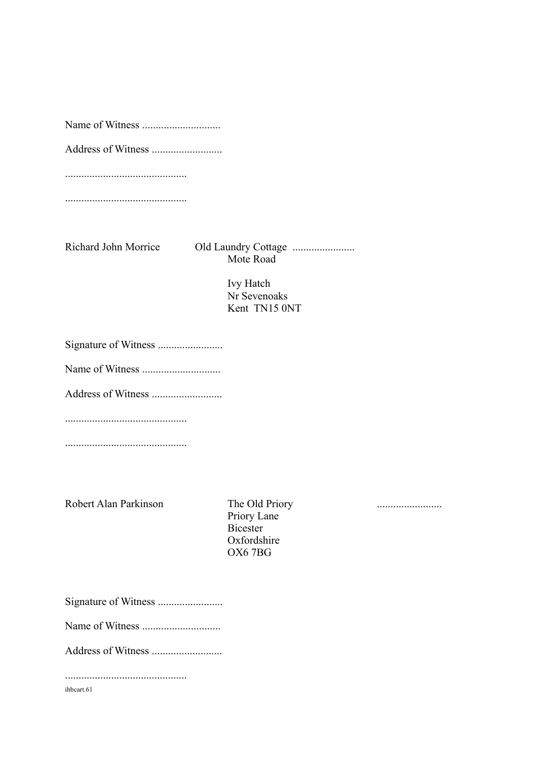Name of Witness .............................

Address of Witness ..........................

.............................................

.............................................

Richard John Morrice Old Laundry Cottage ....................... Mote Road

> Ivy Hatch Nr Sevenoaks Kent TN15 0NT

Signature of Witness ........................

Name of Witness .............................

Address of Witness ..........................

.............................................

.............................................

Robert Alan Parkinson The Old Priory ........................

Priory Lane Bicester Oxfordshire OX6 7BG

Signature of Witness ........................

Name of Witness .............................

Address of Witness ..........................

.............................................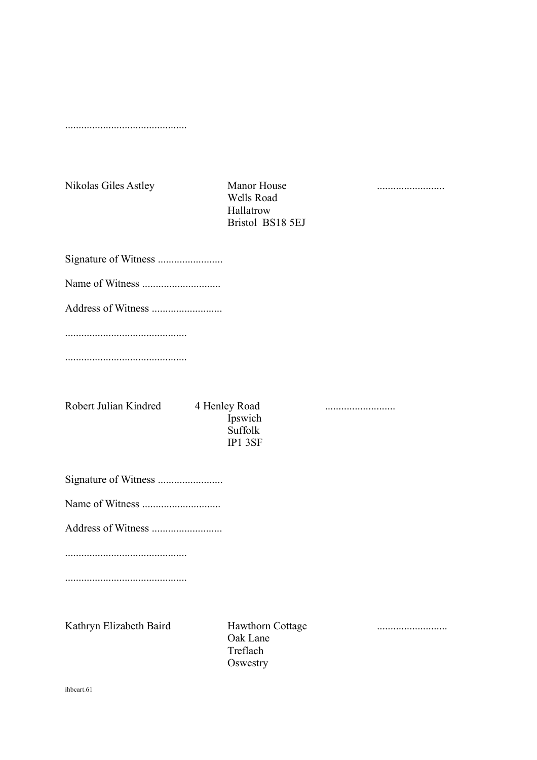.............................................

Nikolas Giles Astley Manor House .........................

Wells Road Hallatrow Bristol BS18 5EJ

Signature of Witness ........................

Name of Witness

Address of Witness ..........................

.............................................

.............................................

Robert Julian Kindred 4 Henley Road ..........................

Ipswich Suffolk IP1 3SF

Signature of Witness ........................

Name of Witness .............................

Address of Witness ..........................

.............................................

.............................................

Kathryn Elizabeth Baird Hawthorn Cottage ..........................

Oak Lane Treflach **Oswestry**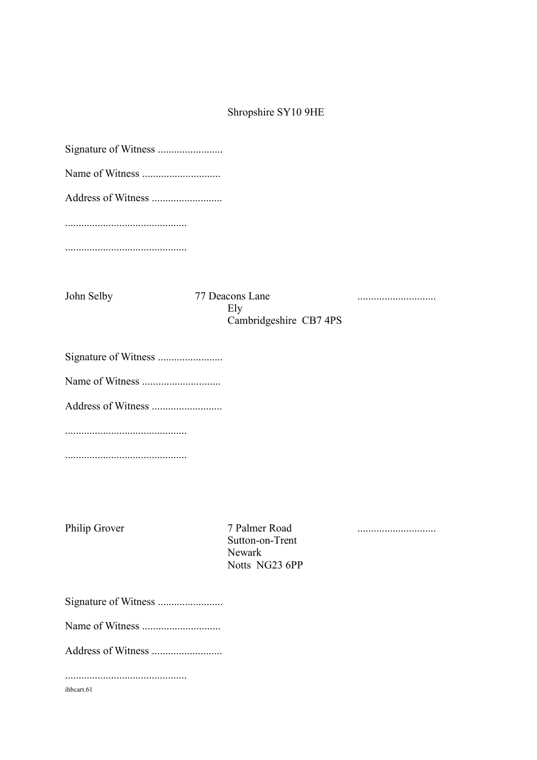# Shropshire SY10 9HE

| John Selby | 77 Deacons Lane<br>Ely<br>Cambridgeshire CB7 4PS |  |
|------------|--------------------------------------------------|--|
|            |                                                  |  |
|            |                                                  |  |
|            |                                                  |  |
|            |                                                  |  |
|            |                                                  |  |

.............................................

Philip Grover 7 Palmer Road ............................. Sutton-on-Trent Newark Notts NG23 6PP

Signature of Witness ........................

Name of Witness .............................

Address of Witness ..........................

.............................................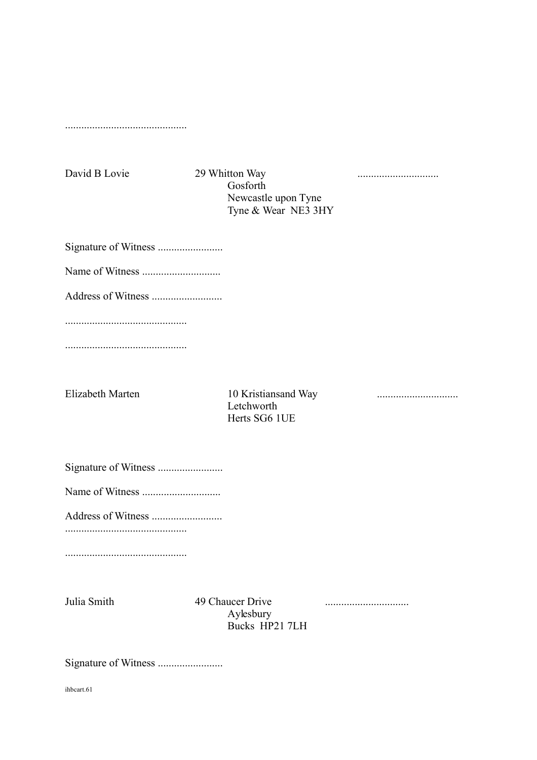.............................................

David B Lovie 29 Whitton Way .............................. Gosforth Newcastle upon Tyne Tyne & Wear NE3 3HY

Signature of Witness ........................

Name of Witness .............................

Address of Witness ..........................

.............................................

.............................................

Elizabeth Marten 10 Kristiansand Way .............................. Letchworth Herts SG6 1UE

Signature of Witness ........................

Name of Witness .............................

Address of Witness ..........................

.............................................

.............................................

Julia Smith 49 Chaucer Drive ............................... Aylesbury Bucks HP21 7LH

Signature of Witness ........................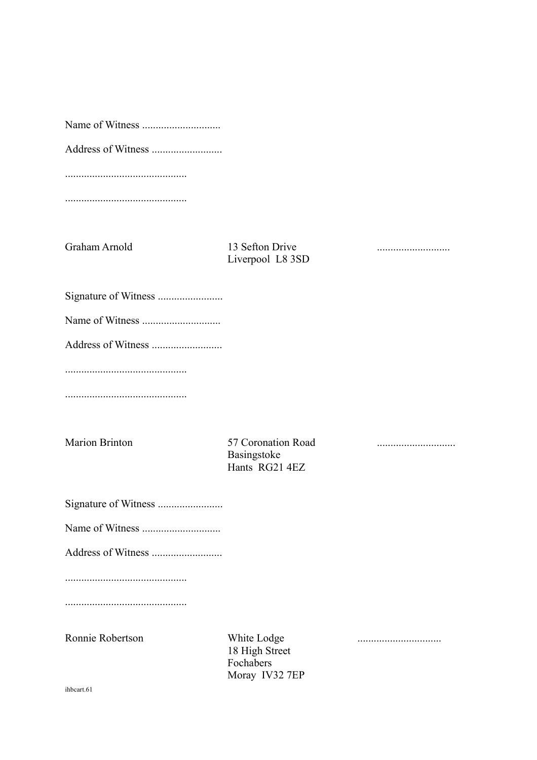Name of Witness .............................

Address of Witness ..........................

.............................................

.............................................

Graham Arnold 13 Sefton Drive ........................... Liverpool L8 3SD

- Signature of Witness ........................
- Name of Witness .............................

Address of Witness ..........................

.............................................

.............................................

Marion Brinton 57 Coronation Road ............................. Basingstoke Hants RG21 4EZ

Signature of Witness ........................

Name of Witness .............................

Address of Witness ..........................

.............................................

.............................................

Ronnie Robertson White Lodge ............................... 18 High Street Fochabers Moray IV32 7EP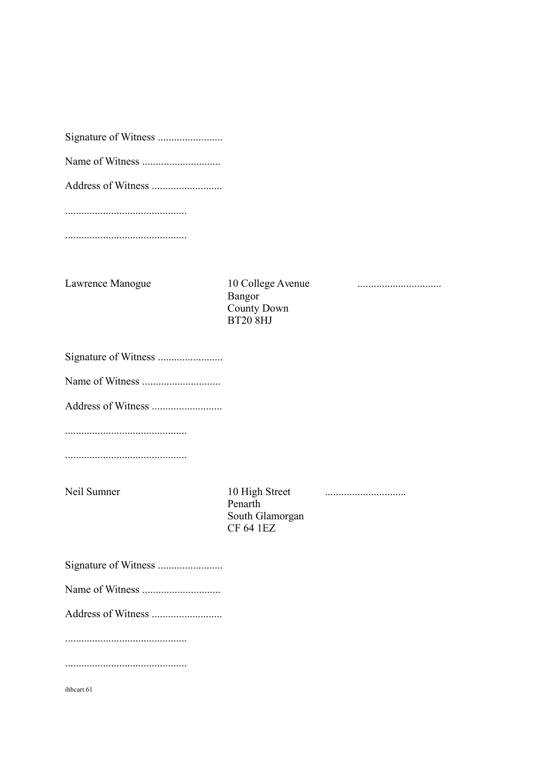Address of Witness ..........................

.............................................

.............................................

Lawrence Manogue 10 College Avenue ...............................

Bangor County Down BT20 8HJ

Signature of Witness ........................

Name of Witness .............................

Address of Witness ..........................

.............................................

.............................................

Neil Sumner 10 High Street .............................. Penarth South Glamorgan CF 64 1EZ

Name of Witness .............................

Address of Witness ..........................

.............................................

.............................................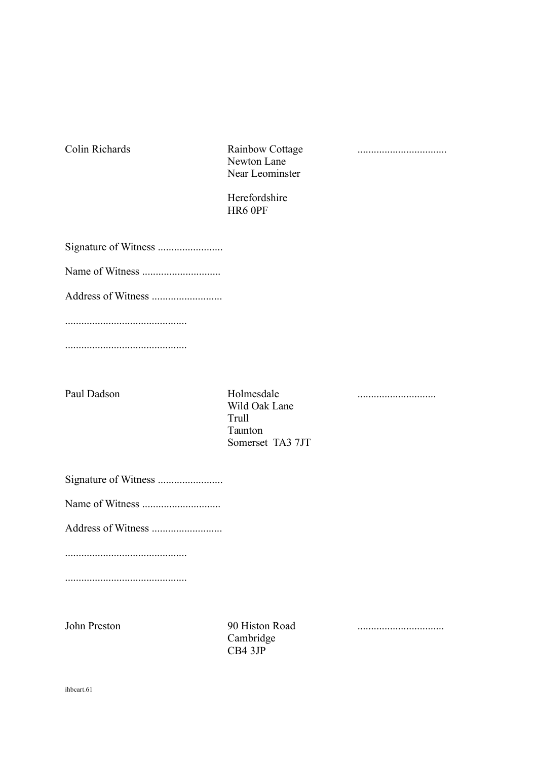Colin Richards Rainbow Cottage ................................. Newton Lane Near Leominster

Herefordshire HR6 0PF

Signature of Witness ........................

Name of Witness .............................

Address of Witness ..........................

.............................................

.............................................

Paul Dadson Holmesdale ............................. Wild Oak Lane Trull Taunton Somerset TA3 7JT

Signature of Witness ........................

Name of Witness .............................

Address of Witness ..........................

.............................................

.............................................

Cambridge CB4 3JP

John Preston 90 Histon Road ................................